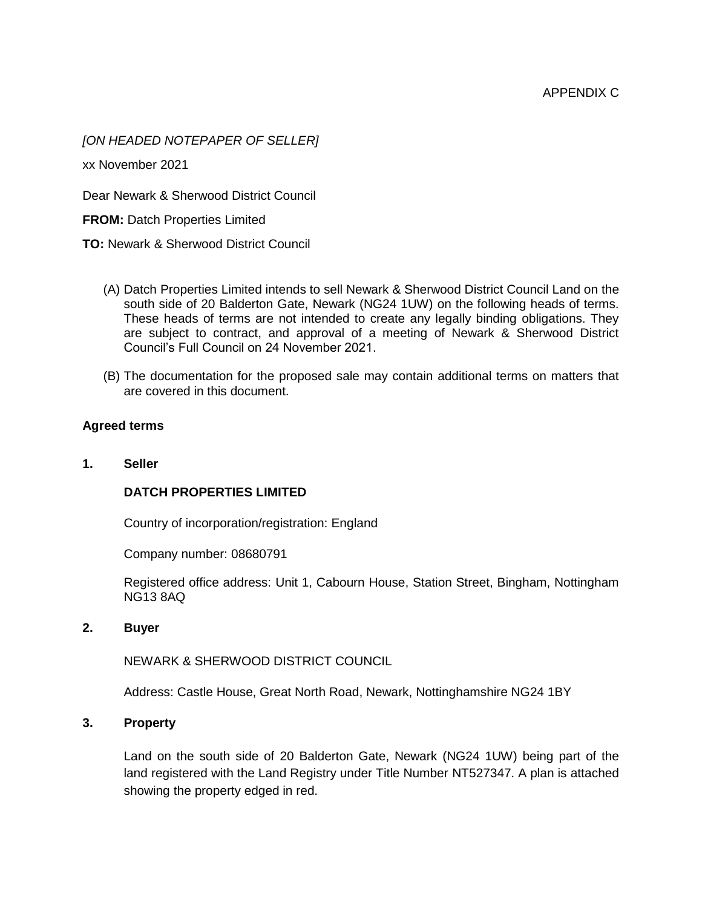### *[ON HEADED NOTEPAPER OF SELLER]*

xx November 2021

Dear Newark & Sherwood District Council

**FROM:** Datch Properties Limited

**TO:** Newark & Sherwood District Council

- (A) Datch Properties Limited intends to sell Newark & Sherwood District Council Land on the south side of 20 Balderton Gate, Newark (NG24 1UW) on the following heads of terms. These heads of terms are not intended to create any legally binding obligations. They are subject to contract, and approval of a meeting of Newark & Sherwood District Council's Full Council on 24 November 2021.
- (B) The documentation for the proposed sale may contain additional terms on matters that are covered in this document.

#### **Agreed terms**

**1. Seller**

### **DATCH PROPERTIES LIMITED**

Country of incorporation/registration: England

Company number: 08680791

Registered office address: Unit 1, Cabourn House, Station Street, Bingham, Nottingham NG13 8AQ

#### **2. Buyer**

NEWARK & SHERWOOD DISTRICT COUNCIL

Address: Castle House, Great North Road, Newark, Nottinghamshire NG24 1BY

#### **3. Property**

Land on the south side of 20 Balderton Gate, Newark (NG24 1UW) being part of the land registered with the Land Registry under Title Number NT527347. A plan is attached showing the property edged in red.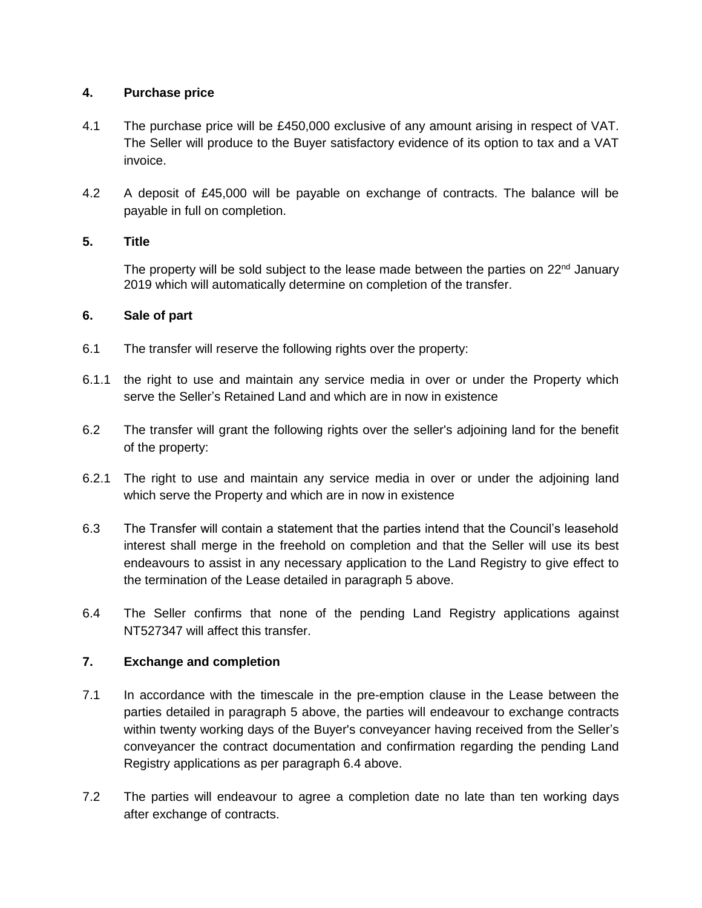# **4. Purchase price**

- 4.1 The purchase price will be £450,000 exclusive of any amount arising in respect of VAT. The Seller will produce to the Buyer satisfactory evidence of its option to tax and a VAT invoice.
- 4.2 A deposit of £45,000 will be payable on exchange of contracts. The balance will be payable in full on completion.

# **5. Title**

The property will be sold subject to the lease made between the parties on  $22<sup>nd</sup>$  January 2019 which will automatically determine on completion of the transfer.

### **6. Sale of part**

- 6.1 The transfer will reserve the following rights over the property:
- 6.1.1 the right to use and maintain any service media in over or under the Property which serve the Seller's Retained Land and which are in now in existence
- 6.2 The transfer will grant the following rights over the seller's adjoining land for the benefit of the property:
- 6.2.1 The right to use and maintain any service media in over or under the adjoining land which serve the Property and which are in now in existence
- 6.3 The Transfer will contain a statement that the parties intend that the Council's leasehold interest shall merge in the freehold on completion and that the Seller will use its best endeavours to assist in any necessary application to the Land Registry to give effect to the termination of the Lease detailed in paragraph 5 above.
- 6.4 The Seller confirms that none of the pending Land Registry applications against NT527347 will affect this transfer.

# **7. Exchange and completion**

- 7.1 In accordance with the timescale in the pre-emption clause in the Lease between the parties detailed in paragraph 5 above, the parties will endeavour to exchange contracts within twenty working days of the Buyer's conveyancer having received from the Seller's conveyancer the contract documentation and confirmation regarding the pending Land Registry applications as per paragraph 6.4 above.
- 7.2 The parties will endeavour to agree a completion date no late than ten working days after exchange of contracts.